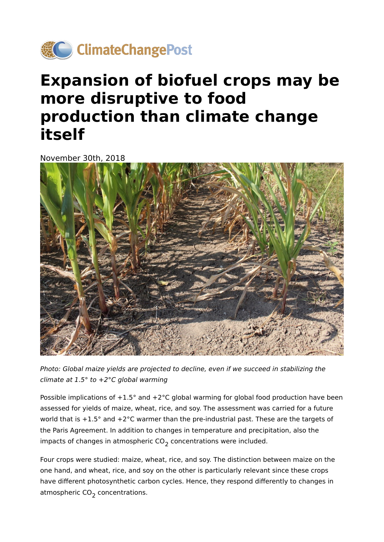

# **Expansion of biofuel crops may be more disruptive to food production than climate change itself**

November 30th, 2018



Photo: Global maize yields are projected to decline, even if we succeed in stabilizing the climate at  $1.5^\circ$  to  $+2^\circ C$  global warming

Possible implications of  $+1.5^{\circ}$  and  $+2^{\circ}$ C global warming for global food production have been assessed for yields of maize, wheat, rice, and soy. The assessment was carried for a future world that is +1.5° and +2°C warmer than the pre-industrial past. These are the targets of the Paris Agreement. In addition to changes in temperature and precipitation, also the impacts of changes in atmospheric  $CO<sub>2</sub>$  concentrations were included.

Four crops were studied: maize, wheat, rice, and soy. The distinction between maize on the one hand, and wheat, rice, and soy on the other is particularly relevant since these crops have different photosynthetic carbon cycles. Hence, they respond differently to changes in atmospheric  $CO<sub>2</sub>$  concentrations.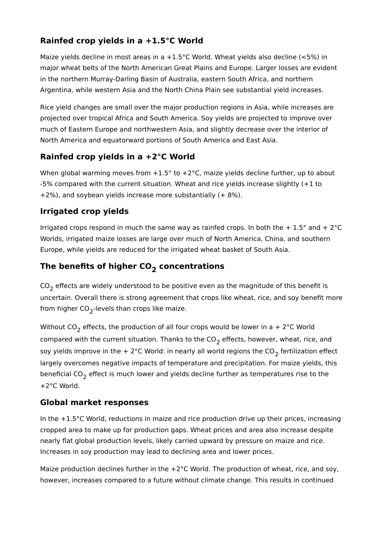## **Rainfed crop yields in a +1.5°C World**

Maize yields decline in most areas in a  $+1.5^{\circ}$ C World. Wheat yields also decline (<5%) in major wheat belts of the North American Great Plains and Europe. Larger losses are evident in the northern Murray-Darling Basin of Australia, eastern South Africa, and northern Argentina, while western Asia and the North China Plain see substantial yield increases.

Rice yield changes are small over the major production regions in Asia, while increases are projected over tropical Africa and South America. Soy yields are projected to improve over much of Eastern Europe and northwestern Asia, and slightly decrease over the interior of North America and equatorward portions of South America and East Asia.

### **Rainfed crop yields in a +2°C World**

When global warming moves from  $+1.5^{\circ}$  to  $+2^{\circ}$ C, maize yields decline further, up to about -5% compared with the current situation. Wheat and rice yields increase slightly (+1 to  $+2\%$ ), and soybean yields increase more substantially ( $+8\%$ ).

### **Irrigated crop yields**

Irrigated crops respond in much the same way as rainfed crops. In both the  $+1.5^{\circ}$  and  $+2^{\circ}$ C Worlds, irrigated maize losses are large over much of North America, China, and southern Europe, while yields are reduced for the irrigated wheat basket of South Asia.

## The benefits of higher CO<sub>2</sub> concentrations

 $CO<sub>2</sub>$  effects are widely understood to be positive even as the magnitude of this benefit is uncertain. Overall there is strong agreement that crops like wheat, rice, and soy benefit more from higher  $CO<sub>2</sub>$ -levels than crops like maize.

Without CO<sub>2</sub> effects, the production of all four crops would be lower in a + 2°C World compared with the current situation. Thanks to the  $CO<sub>2</sub>$  effects, however, wheat, rice, and soy yields improve in the + 2°C World: in nearly all world regions the  $CO<sub>2</sub>$  fertilization effect largely overcomes negative impacts of temperature and precipitation. For maize yields, this beneficial  $CO<sub>2</sub>$  effect is much lower and yields decline further as temperatures rise to the +2°C World.

#### **Global market responses**

In the +1.5°C World, reductions in maize and rice production drive up their prices, increasing cropped area to make up for production gaps. Wheat prices and area also increase despite nearly flat global production levels, likely carried upward by pressure on maize and rice. Increases in soy production may lead to declining area and lower prices.

Maize production declines further in the +2°C World. The production of wheat, rice, and soy, however, increases compared to a future without climate change. This results in continued